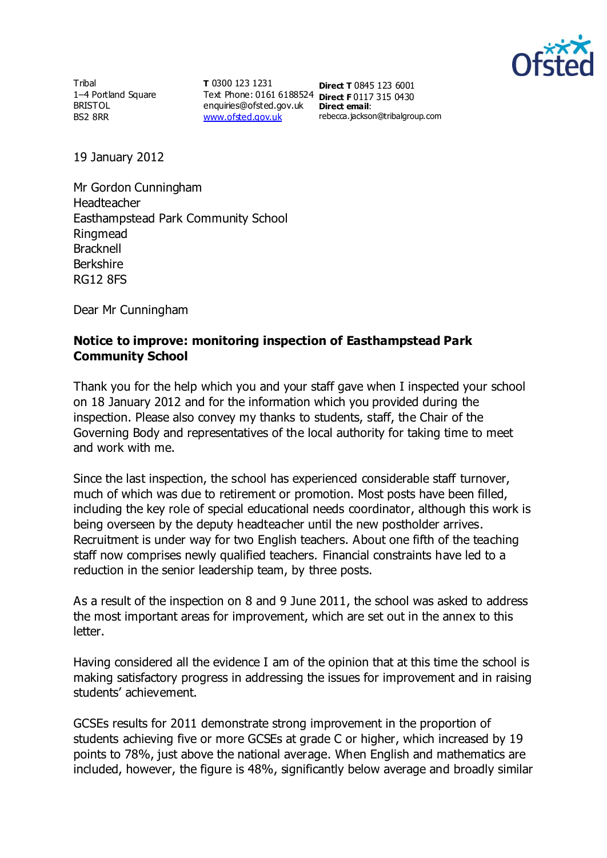

Tribal 1–4 Portland Square BRISTOL BS2 8RR

**T** 0300 123 1231 Text Phone: 0161 6188524 **Direct F** 0117 315 0430 enquiries@ofsted.gov.uk **Direct email**: [www.ofsted.gov.uk](http://www.ofsted.gov.uk/)

**Direct T** 0845 123 6001 rebecca.jackson@tribalgroup.com

19 January 2012

Mr Gordon Cunningham Headteacher Easthampstead Park Community School Ringmead **Bracknell** Berkshire RG12 8FS

Dear Mr Cunningham

## **Notice to improve: monitoring inspection of Easthampstead Park Community School**

Thank you for the help which you and your staff gave when I inspected your school on 18 January 2012 and for the information which you provided during the inspection. Please also convey my thanks to students, staff, the Chair of the Governing Body and representatives of the local authority for taking time to meet and work with me.

Since the last inspection, the school has experienced considerable staff turnover, much of which was due to retirement or promotion. Most posts have been filled, including the key role of special educational needs coordinator, although this work is being overseen by the deputy headteacher until the new postholder arrives. Recruitment is under way for two English teachers. About one fifth of the teaching staff now comprises newly qualified teachers. Financial constraints have led to a reduction in the senior leadership team, by three posts.

As a result of the inspection on 8 and 9 June 2011, the school was asked to address the most important areas for improvement, which are set out in the annex to this letter.

Having considered all the evidence I am of the opinion that at this time the school is making satisfactory progress in addressing the issues for improvement and in raising students' achievement.

GCSEs results for 2011 demonstrate strong improvement in the proportion of students achieving five or more GCSEs at grade C or higher, which increased by 19 points to 78%, just above the national average. When English and mathematics are included, however, the figure is 48%, significantly below average and broadly similar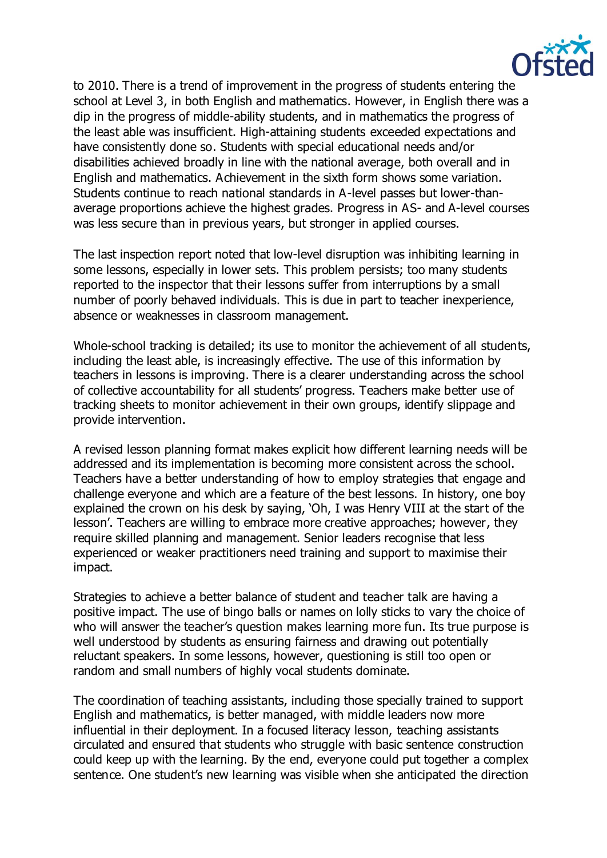

to 2010. There is a trend of improvement in the progress of students entering the school at Level 3, in both English and mathematics. However, in English there was a dip in the progress of middle-ability students, and in mathematics the progress of the least able was insufficient. High-attaining students exceeded expectations and have consistently done so. Students with special educational needs and/or disabilities achieved broadly in line with the national average, both overall and in English and mathematics. Achievement in the sixth form shows some variation. Students continue to reach national standards in A-level passes but lower-thanaverage proportions achieve the highest grades. Progress in AS- and A-level courses was less secure than in previous years, but stronger in applied courses.

The last inspection report noted that low-level disruption was inhibiting learning in some lessons, especially in lower sets. This problem persists; too many students reported to the inspector that their lessons suffer from interruptions by a small number of poorly behaved individuals. This is due in part to teacher inexperience, absence or weaknesses in classroom management.

Whole-school tracking is detailed; its use to monitor the achievement of all students, including the least able, is increasingly effective. The use of this information by teachers in lessons is improving. There is a clearer understanding across the school of collective accountability for all students' progress. Teachers make better use of tracking sheets to monitor achievement in their own groups, identify slippage and provide intervention.

A revised lesson planning format makes explicit how different learning needs will be addressed and its implementation is becoming more consistent across the school. Teachers have a better understanding of how to employ strategies that engage and challenge everyone and which are a feature of the best lessons. In history, one boy explained the crown on his desk by saying, 'Oh, I was Henry VIII at the start of the lesson'. Teachers are willing to embrace more creative approaches; however, they require skilled planning and management. Senior leaders recognise that less experienced or weaker practitioners need training and support to maximise their impact.

Strategies to achieve a better balance of student and teacher talk are having a positive impact. The use of bingo balls or names on lolly sticks to vary the choice of who will answer the teacher's question makes learning more fun. Its true purpose is well understood by students as ensuring fairness and drawing out potentially reluctant speakers. In some lessons, however, questioning is still too open or random and small numbers of highly vocal students dominate.

The coordination of teaching assistants, including those specially trained to support English and mathematics, is better managed, with middle leaders now more influential in their deployment. In a focused literacy lesson, teaching assistants circulated and ensured that students who struggle with basic sentence construction could keep up with the learning. By the end, everyone could put together a complex sentence. One student's new learning was visible when she anticipated the direction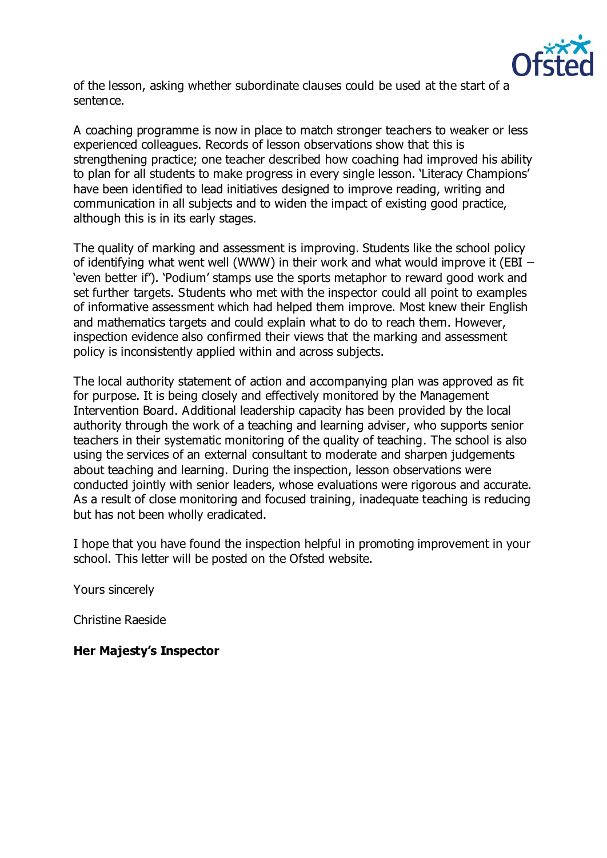

of the lesson, asking whether subordinate clauses could be used at the start of a sentence.

A coaching programme is now in place to match stronger teachers to weaker or less experienced colleagues. Records of lesson observations show that this is strengthening practice; one teacher described how coaching had improved his ability to plan for all students to make progress in every single lesson. 'Literacy Champions' have been identified to lead initiatives designed to improve reading, writing and communication in all subjects and to widen the impact of existing good practice, although this is in its early stages.

The quality of marking and assessment is improving. Students like the school policy of identifying what went well (WWW) in their work and what would improve it (EBI – 'even better if'). 'Podium' stamps use the sports metaphor to reward good work and set further targets. Students who met with the inspector could all point to examples of informative assessment which had helped them improve. Most knew their English and mathematics targets and could explain what to do to reach them. However, inspection evidence also confirmed their views that the marking and assessment policy is inconsistently applied within and across subjects.

The local authority statement of action and accompanying plan was approved as fit for purpose. It is being closely and effectively monitored by the Management Intervention Board. Additional leadership capacity has been provided by the local authority through the work of a teaching and learning adviser, who supports senior teachers in their systematic monitoring of the quality of teaching. The school is also using the services of an external consultant to moderate and sharpen judgements about teaching and learning. During the inspection, lesson observations were conducted jointly with senior leaders, whose evaluations were rigorous and accurate. As a result of close monitoring and focused training, inadequate teaching is reducing but has not been wholly eradicated.

I hope that you have found the inspection helpful in promoting improvement in your school. This letter will be posted on the Ofsted website.

Yours sincerely

Christine Raeside

**Her Majesty's Inspector**